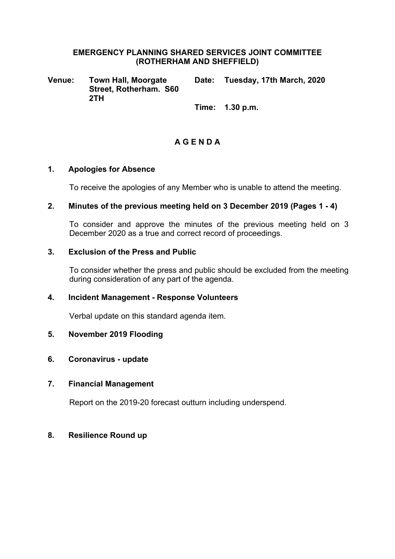#### **EMERGENCY PLANNING SHARED SERVICES JOINT COMMITTEE (ROTHERHAM AND SHEFFIELD)**

**Venue: Town Hall, Moorgate Street, Rotherham. S60 2TH Date: Tuesday, 17th March, 2020**

**Time: 1.30 p.m.**

# **A G E N D A**

#### **1. Apologies for Absence**

To receive the apologies of any Member who is unable to attend the meeting.

## **2. Minutes of the previous meeting held on 3 December 2019 (Pages 1 - 4)**

To consider and approve the minutes of the previous meeting held on 3 December 2020 as a true and correct record of proceedings.

## **3. Exclusion of the Press and Public**

To consider whether the press and public should be excluded from the meeting during consideration of any part of the agenda.

# **4. Incident Management - Response Volunteers**

Verbal update on this standard agenda item.

#### **5. November 2019 Flooding**

#### **6. Coronavirus - update**

#### **7. Financial Management**

Report on the 2019-20 forecast outturn including underspend.

#### **8. Resilience Round up**